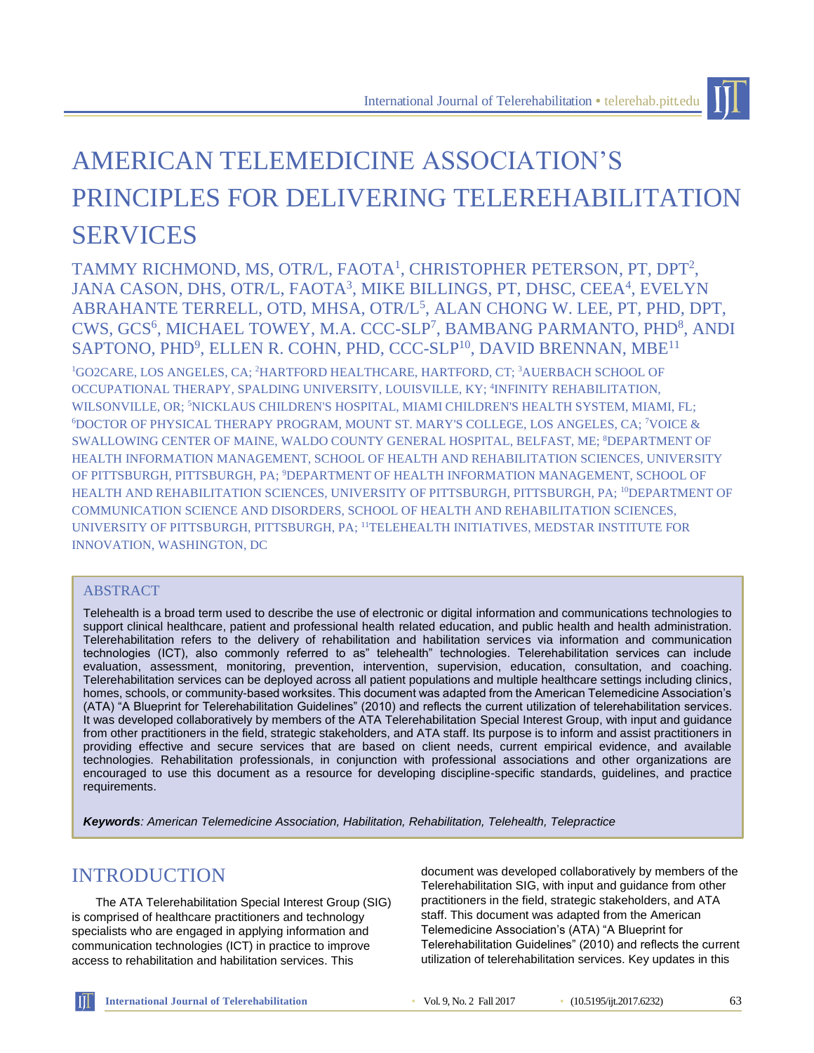# AMERICAN TELEMEDICINE ASSOCIATION'S PRINCIPLES FOR DELIVERING TELEREHABILITATION **SERVICES**

TAMMY RICHMOND, MS, OTR/L, FAOTA<sup>1</sup>, CHRISTOPHER PETERSON, PT, DPT<sup>2</sup>, JANA CASON, DHS, OTR/L, FAOTA<sup>3</sup>, MIKE BILLINGS, PT, DHSC, CEEA<sup>4</sup>, EVELYN ABRAHANTE TERRELL, OTD, MHSA, OTR/L<sup>5</sup>, ALAN CHONG W. LEE, PT, PHD, DPT, CWS, GCS<sup>6</sup>, MICHAEL TOWEY, M.A. CCC-SLP<sup>7</sup>, BAMBANG PARMANTO, PHD<sup>8</sup>, ANDI SAPTONO, PHD<sup>9</sup>, ELLEN R. COHN, PHD, CCC-SLP<sup>10</sup>, DAVID BRENNAN, MBE<sup>11</sup>

<sup>1</sup>GO2CARE, LOS ANGELES, CA; <sup>2</sup>HARTFORD HEALTHCARE, HARTFORD, CT; <sup>3</sup>AUERBACH SCHOOL OF OCCUPATIONAL THERAPY, SPALDING UNIVERSITY, LOUISVILLE, KY; <sup>4</sup>INFINITY REHABILITATION, WILSONVILLE, OR; <sup>5</sup>NICKLAUS CHILDREN'S HOSPITAL, MIAMI CHILDREN'S HEALTH SYSTEM, MIAMI, FL; <sup>6</sup>DOCTOR OF PHYSICAL THERAPY PROGRAM, MOUNT ST. MARY'S COLLEGE, LOS ANGELES, CA; <sup>7</sup>VOICE & SWALLOWING CENTER OF MAINE, WALDO COUNTY GENERAL HOSPITAL, BELFAST, ME; <sup>8</sup>DEPARTMENT OF HEALTH INFORMATION MANAGEMENT, SCHOOL OF HEALTH AND REHABILITATION SCIENCES, UNIVERSITY OF PITTSBURGH, PITTSBURGH, PA; <sup>9</sup>DEPARTMENT OF HEALTH INFORMATION MANAGEMENT, SCHOOL OF HEALTH AND REHABILITATION SCIENCES, UNIVERSITY OF PITTSBURGH, PITTSBURGH, PA: <sup>10</sup>DEPARTMENT OF COMMUNICATION SCIENCE AND DISORDERS, SCHOOL OF HEALTH AND REHABILITATION SCIENCES, UNIVERSITY OF PITTSBURGH, PITTSBURGH, PA; <sup>11</sup>TELEHEALTH INITIATIVES, MEDSTAR INSTITUTE FOR INNOVATION, WASHINGTON, DC

#### ABSTRACT

Telehealth is a broad term used to describe the use of electronic or digital information and communications technologies to support clinical healthcare, patient and professional health related education, and public health and health administration. Telerehabilitation refers to the delivery of rehabilitation and habilitation services via information and communication technologies (ICT), also commonly referred to as" telehealth" technologies. Telerehabilitation services can include evaluation, assessment, monitoring, prevention, intervention, supervision, education, consultation, and coaching. Telerehabilitation services can be deployed across all patient populations and multiple healthcare settings including clinics, homes, schools, or community-based worksites. This document was adapted from the American Telemedicine Association's (ATA) "A Blueprint for Telerehabilitation Guidelines" (2010) and reflects the current utilization of telerehabilitation services. It was developed collaboratively by members of the ATA Telerehabilitation Special Interest Group, with input and guidance from other practitioners in the field, strategic stakeholders, and ATA staff. Its purpose is to inform and assist practitioners in providing effective and secure services that are based on client needs, current empirical evidence, and available technologies. Rehabilitation professionals, in conjunction with professional associations and other organizations are encouraged to use this document as a resource for developing discipline-specific standards, guidelines, and practice requirements.

*Keywords: American Telemedicine Association, Habilitation, Rehabilitation, Telehealth, Telepractice*

# INTRODUCTION

The ATA Telerehabilitation Special Interest Group (SIG) is comprised of healthcare practitioners and technology specialists who are engaged in applying information and communication technologies (ICT) in practice to improve access to rehabilitation and habilitation services. This

document was developed collaboratively by members of the Telerehabilitation SIG, with input and guidance from other practitioners in the field, strategic stakeholders, and ATA staff. This document was adapted from the American Telemedicine Association's (ATA) "A Blueprint for Telerehabilitation Guidelines" (2010) and reflects the current utilization of telerehabilitation services. Key updates in this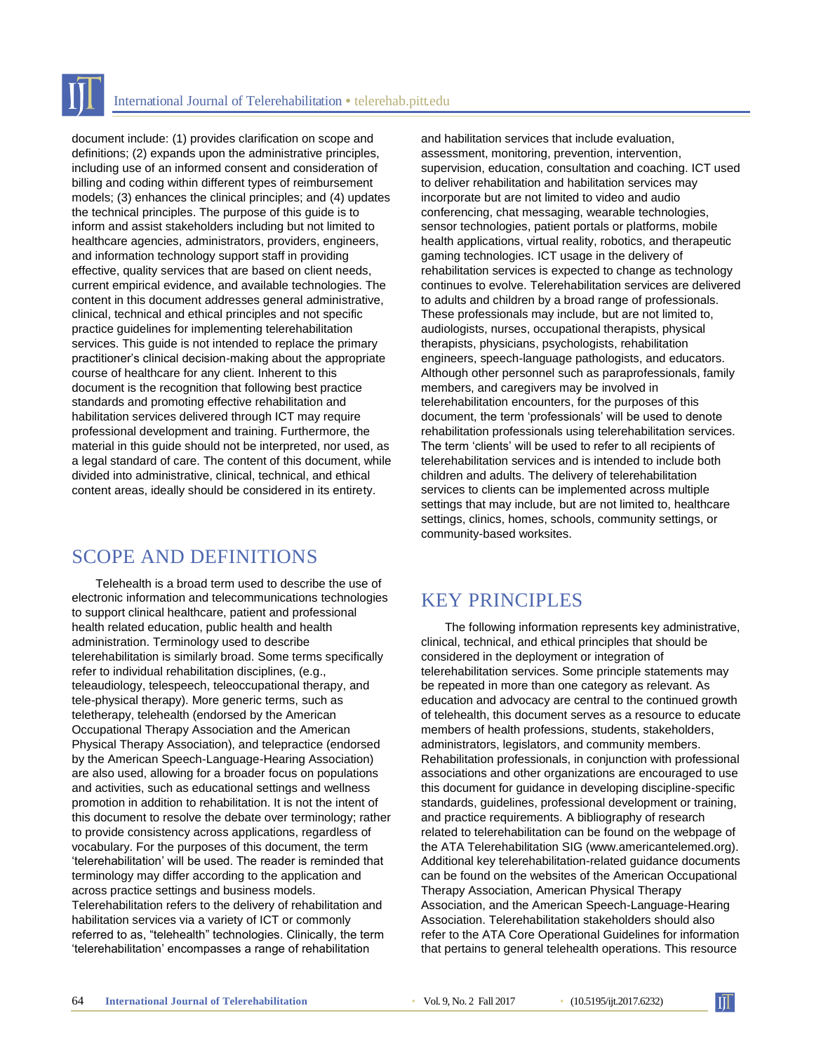document include: (1) provides clarification on scope and definitions; (2) expands upon the administrative principles, including use of an informed consent and consideration of billing and coding within different types of reimbursement models; (3) enhances the clinical principles; and (4) updates the technical principles. The purpose of this guide is to inform and assist stakeholders including but not limited to healthcare agencies, administrators, providers, engineers, and information technology support staff in providing effective, quality services that are based on client needs, current empirical evidence, and available technologies. The content in this document addresses general administrative, clinical, technical and ethical principles and not specific practice guidelines for implementing telerehabilitation services. This guide is not intended to replace the primary practitioner's clinical decision-making about the appropriate course of healthcare for any client. Inherent to this document is the recognition that following best practice standards and promoting effective rehabilitation and habilitation services delivered through ICT may require professional development and training. Furthermore, the material in this guide should not be interpreted, nor used, as a legal standard of care. The content of this document, while divided into administrative, clinical, technical, and ethical content areas, ideally should be considered in its entirety.

# SCOPE AND DEFINITIONS

Telehealth is a broad term used to describe the use of electronic information and telecommunications technologies to support clinical healthcare, patient and professional health related education, public health and health administration. Terminology used to describe telerehabilitation is similarly broad. Some terms specifically refer to individual rehabilitation disciplines, (e.g., teleaudiology, telespeech, teleoccupational therapy, and tele-physical therapy). More generic terms, such as teletherapy, telehealth (endorsed by the American Occupational Therapy Association and the American Physical Therapy Association), and telepractice (endorsed by the American Speech-Language-Hearing Association) are also used, allowing for a broader focus on populations and activities, such as educational settings and wellness promotion in addition to rehabilitation. It is not the intent of this document to resolve the debate over terminology; rather to provide consistency across applications, regardless of vocabulary. For the purposes of this document, the term 'telerehabilitation' will be used. The reader is reminded that terminology may differ according to the application and across practice settings and business models. Telerehabilitation refers to the delivery of rehabilitation and habilitation services via a variety of ICT or commonly referred to as, "telehealth" technologies. Clinically, the term 'telerehabilitation' encompasses a range of rehabilitation

and habilitation services that include evaluation, assessment, monitoring, prevention, intervention, supervision, education, consultation and coaching. ICT used to deliver rehabilitation and habilitation services may incorporate but are not limited to video and audio conferencing, chat messaging, wearable technologies, sensor technologies, patient portals or platforms, mobile health applications, virtual reality, robotics, and therapeutic gaming technologies. ICT usage in the delivery of rehabilitation services is expected to change as technology continues to evolve. Telerehabilitation services are delivered to adults and children by a broad range of professionals. These professionals may include, but are not limited to, audiologists, nurses, occupational therapists, physical therapists, physicians, psychologists, rehabilitation engineers, speech-language pathologists, and educators. Although other personnel such as paraprofessionals, family members, and caregivers may be involved in telerehabilitation encounters, for the purposes of this document, the term 'professionals' will be used to denote rehabilitation professionals using telerehabilitation services. The term 'clients' will be used to refer to all recipients of telerehabilitation services and is intended to include both children and adults. The delivery of telerehabilitation services to clients can be implemented across multiple settings that may include, but are not limited to, healthcare settings, clinics, homes, schools, community settings, or community-based worksites.

# KEY PRINCIPLES

The following information represents key administrative, clinical, technical, and ethical principles that should be considered in the deployment or integration of telerehabilitation services. Some principle statements may be repeated in more than one category as relevant. As education and advocacy are central to the continued growth of telehealth, this document serves as a resource to educate members of health professions, students, stakeholders, administrators, legislators, and community members. Rehabilitation professionals, in conjunction with professional associations and other organizations are encouraged to use this document for guidance in developing discipline-specific standards, guidelines, professional development or training, and practice requirements. A bibliography of research related to telerehabilitation can be found on the webpage of the ATA Telerehabilitation SIG (www.americantelemed.org). Additional key telerehabilitation-related guidance documents can be found on the websites of the American Occupational Therapy Association, American Physical Therapy Association, and the American Speech-Language-Hearing Association. Telerehabilitation stakeholders should also refer to the ATA Core Operational Guidelines for information that pertains to general telehealth operations. This resource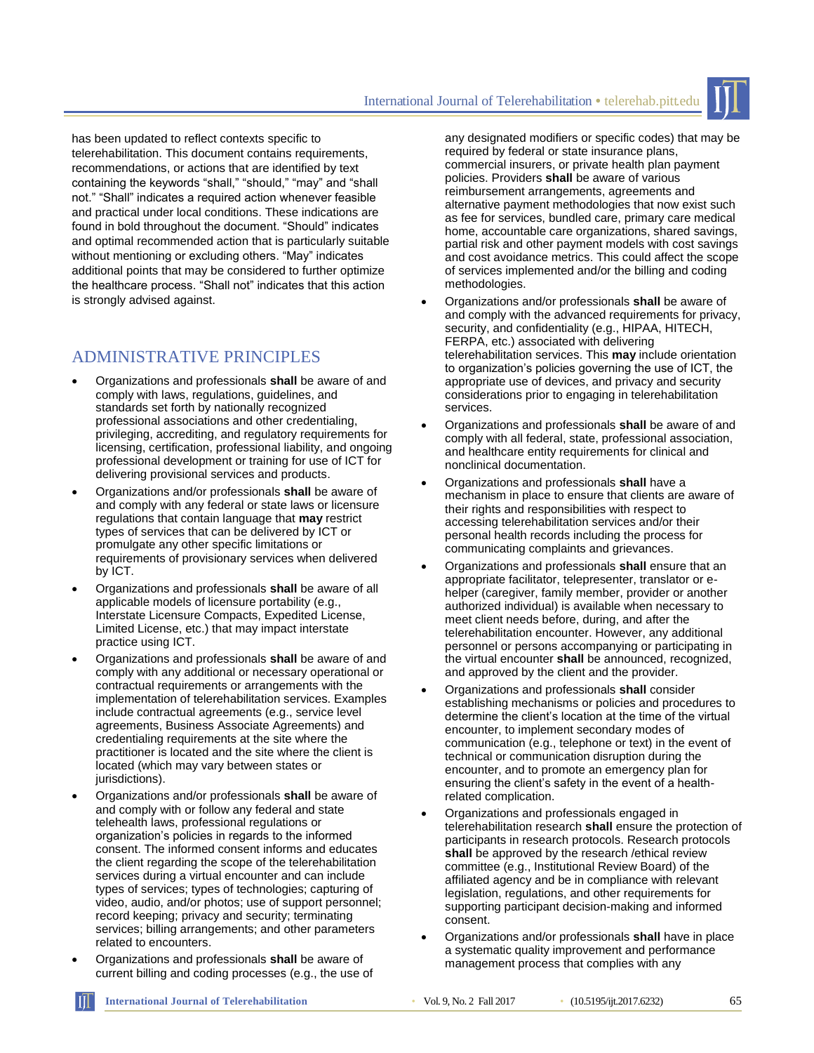has been updated to reflect contexts specific to telerehabilitation. This document contains requirements, recommendations, or actions that are identified by text containing the keywords "shall," "should," "may" and "shall not." "Shall" indicates a required action whenever feasible and practical under local conditions. These indications are found in bold throughout the document. "Should" indicates and optimal recommended action that is particularly suitable without mentioning or excluding others. "May" indicates additional points that may be considered to further optimize the healthcare process. "Shall not" indicates that this action is strongly advised against.

## ADMINISTRATIVE PRINCIPLES

- Organizations and professionals **shall** be aware of and comply with laws, regulations, guidelines, and standards set forth by nationally recognized professional associations and other credentialing, privileging, accrediting, and regulatory requirements for licensing, certification, professional liability, and ongoing professional development or training for use of ICT for delivering provisional services and products.
- Organizations and/or professionals **shall** be aware of and comply with any federal or state laws or licensure regulations that contain language that **may** restrict types of services that can be delivered by ICT or promulgate any other specific limitations or requirements of provisionary services when delivered by ICT.
- Organizations and professionals **shall** be aware of all applicable models of licensure portability (e.g., Interstate Licensure Compacts, Expedited License, Limited License, etc.) that may impact interstate practice using ICT.
- Organizations and professionals **shall** be aware of and comply with any additional or necessary operational or contractual requirements or arrangements with the implementation of telerehabilitation services. Examples include contractual agreements (e.g., service level agreements, Business Associate Agreements) and credentialing requirements at the site where the practitioner is located and the site where the client is located (which may vary between states or jurisdictions).
- Organizations and/or professionals **shall** be aware of and comply with or follow any federal and state telehealth laws, professional regulations or organization's policies in regards to the informed consent. The informed consent informs and educates the client regarding the scope of the telerehabilitation services during a virtual encounter and can include types of services; types of technologies; capturing of video, audio, and/or photos; use of support personnel; record keeping; privacy and security; terminating services; billing arrangements; and other parameters related to encounters.
- Organizations and professionals **shall** be aware of current billing and coding processes (e.g., the use of

any designated modifiers or specific codes) that may be required by federal or state insurance plans, commercial insurers, or private health plan payment policies. Providers **shall** be aware of various reimbursement arrangements, agreements and alternative payment methodologies that now exist such as fee for services, bundled care, primary care medical home, accountable care organizations, shared savings, partial risk and other payment models with cost savings and cost avoidance metrics. This could affect the scope of services implemented and/or the billing and coding methodologies.

- Organizations and/or professionals **shall** be aware of and comply with the advanced requirements for privacy, security, and confidentiality (e.g., HIPAA, HITECH, FERPA, etc.) associated with delivering telerehabilitation services. This **may** include orientation to organization's policies governing the use of ICT, the appropriate use of devices, and privacy and security considerations prior to engaging in telerehabilitation services.
- Organizations and professionals **shall** be aware of and comply with all federal, state, professional association, and healthcare entity requirements for clinical and nonclinical documentation.
- Organizations and professionals **shall** have a mechanism in place to ensure that clients are aware of their rights and responsibilities with respect to accessing telerehabilitation services and/or their personal health records including the process for communicating complaints and grievances.
- Organizations and professionals **shall** ensure that an appropriate facilitator, telepresenter, translator or ehelper (caregiver, family member, provider or another authorized individual) is available when necessary to meet client needs before, during, and after the telerehabilitation encounter. However, any additional personnel or persons accompanying or participating in the virtual encounter **shall** be announced, recognized, and approved by the client and the provider.
- Organizations and professionals **shall** consider establishing mechanisms or policies and procedures to determine the client's location at the time of the virtual encounter, to implement secondary modes of communication (e.g., telephone or text) in the event of technical or communication disruption during the encounter, and to promote an emergency plan for ensuring the client's safety in the event of a healthrelated complication.
- Organizations and professionals engaged in telerehabilitation research **shall** ensure the protection of participants in research protocols. Research protocols **shall** be approved by the research /ethical review committee (e.g., Institutional Review Board) of the affiliated agency and be in compliance with relevant legislation, regulations, and other requirements for supporting participant decision-making and informed consent.
- Organizations and/or professionals **shall** have in place a systematic quality improvement and performance management process that complies with any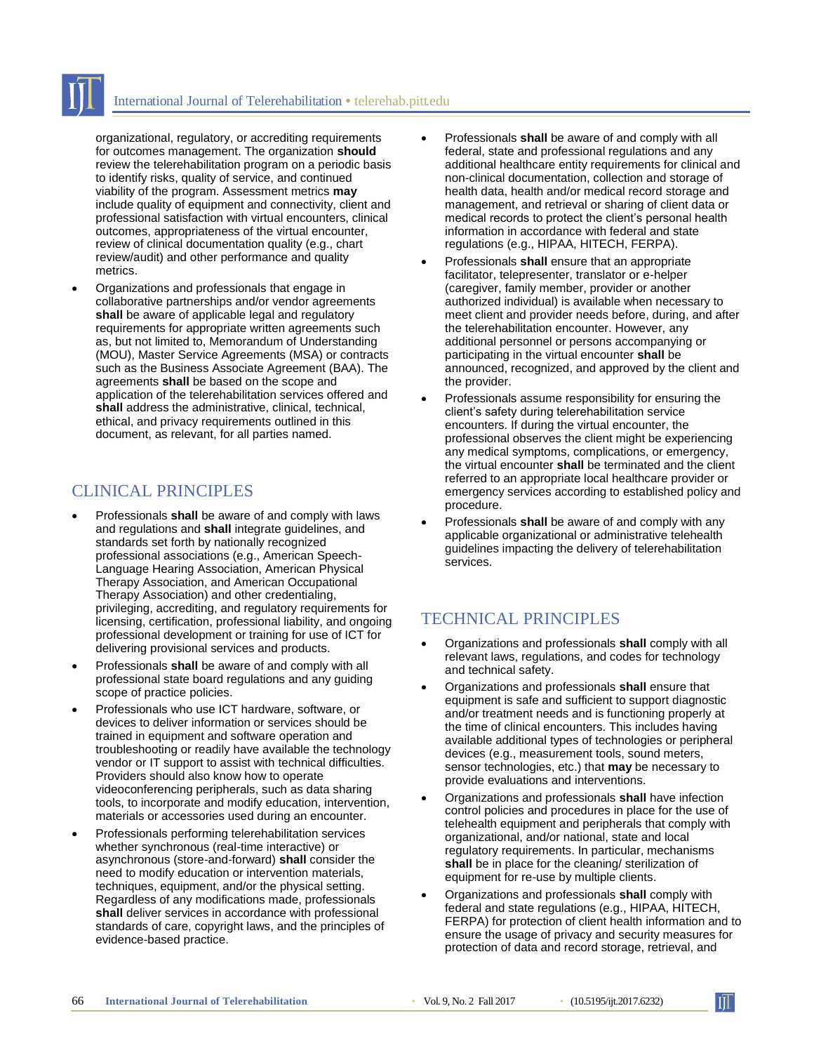organizational, regulatory, or accrediting requirements for outcomes management. The organization **should** review the telerehabilitation program on a periodic basis to identify risks, quality of service, and continued viability of the program. Assessment metrics **may**  include quality of equipment and connectivity, client and professional satisfaction with virtual encounters, clinical outcomes, appropriateness of the virtual encounter, review of clinical documentation quality (e.g., chart review/audit) and other performance and quality metrics.

 Organizations and professionals that engage in collaborative partnerships and/or vendor agreements **shall** be aware of applicable legal and regulatory requirements for appropriate written agreements such as, but not limited to, Memorandum of Understanding (MOU), Master Service Agreements (MSA) or contracts such as the Business Associate Agreement (BAA). The agreements **shall** be based on the scope and application of the telerehabilitation services offered and **shall** address the administrative, clinical, technical, ethical, and privacy requirements outlined in this document, as relevant, for all parties named.

## CLINICAL PRINCIPLES

- Professionals **shall** be aware of and comply with laws and regulations and **shall** integrate guidelines, and standards set forth by nationally recognized professional associations (e.g., American Speech-Language Hearing Association, American Physical Therapy Association, and American Occupational Therapy Association) and other credentialing, privileging, accrediting, and regulatory requirements for licensing, certification, professional liability, and ongoing professional development or training for use of ICT for delivering provisional services and products.
- Professionals **shall** be aware of and comply with all professional state board regulations and any guiding scope of practice policies.
- Professionals who use ICT hardware, software, or devices to deliver information or services should be trained in equipment and software operation and troubleshooting or readily have available the technology vendor or IT support to assist with technical difficulties. Providers should also know how to operate videoconferencing peripherals, such as data sharing tools, to incorporate and modify education, intervention, materials or accessories used during an encounter.
- Professionals performing telerehabilitation services whether synchronous (real-time interactive) or asynchronous (store-and-forward) **shall** consider the need to modify education or intervention materials, techniques, equipment, and/or the physical setting. Regardless of any modifications made, professionals **shall** deliver services in accordance with professional standards of care, copyright laws, and the principles of evidence-based practice.
- Professionals **shall** be aware of and comply with all federal, state and professional regulations and any additional healthcare entity requirements for clinical and non-clinical documentation, collection and storage of health data, health and/or medical record storage and management, and retrieval or sharing of client data or medical records to protect the client's personal health information in accordance with federal and state regulations (e.g., HIPAA, HITECH, FERPA).
- Professionals **shall** ensure that an appropriate facilitator, telepresenter, translator or e-helper (caregiver, family member, provider or another authorized individual) is available when necessary to meet client and provider needs before, during, and after the telerehabilitation encounter. However, any additional personnel or persons accompanying or participating in the virtual encounter **shall** be announced, recognized, and approved by the client and the provider.
- Professionals assume responsibility for ensuring the client's safety during telerehabilitation service encounters. If during the virtual encounter, the professional observes the client might be experiencing any medical symptoms, complications, or emergency, the virtual encounter **shall** be terminated and the client referred to an appropriate local healthcare provider or emergency services according to established policy and procedure.
- Professionals **shall** be aware of and comply with any applicable organizational or administrative telehealth guidelines impacting the delivery of telerehabilitation services.

## TECHNICAL PRINCIPLES

- Organizations and professionals **shall** comply with all relevant laws, regulations, and codes for technology and technical safety.
- Organizations and professionals **shall** ensure that equipment is safe and sufficient to support diagnostic and/or treatment needs and is functioning properly at the time of clinical encounters. This includes having available additional types of technologies or peripheral devices (e.g., measurement tools, sound meters, sensor technologies, etc.) that **may** be necessary to provide evaluations and interventions.
- Organizations and professionals **shall** have infection control policies and procedures in place for the use of telehealth equipment and peripherals that comply with organizational, and/or national, state and local regulatory requirements. In particular, mechanisms **shall** be in place for the cleaning/ sterilization of equipment for re-use by multiple clients.
- Organizations and professionals **shall** comply with federal and state regulations (e.g., HIPAA, HITECH, FERPA) for protection of client health information and to ensure the usage of privacy and security measures for protection of data and record storage, retrieval, and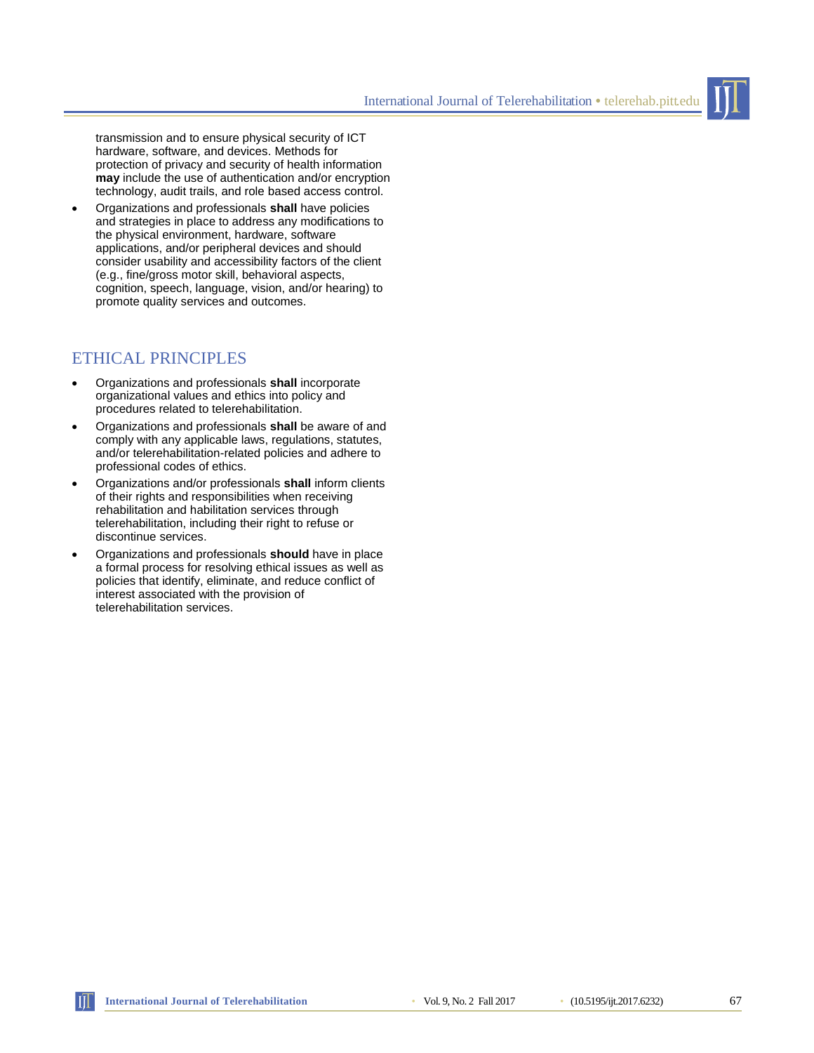transmission and to ensure physical security of ICT hardware, software, and devices. Methods for protection of privacy and security of health information **may** include the use of authentication and/or encryption technology, audit trails, and role based access control.

 Organizations and professionals **shall** have policies and strategies in place to address any modifications to the physical environment, hardware, software applications, and/or peripheral devices and should consider usability and accessibility factors of the client (e.g., fine/gross motor skill, behavioral aspects, cognition, speech, language, vision, and/or hearing) to promote quality services and outcomes.

## ETHICAL PRINCIPLES

- Organizations and professionals **shall** incorporate organizational values and ethics into policy and procedures related to telerehabilitation.
- Organizations and professionals **shall** be aware of and comply with any applicable laws, regulations, statutes, and/or telerehabilitation-related policies and adhere to professional codes of ethics.
- Organizations and/or professionals **shall** inform clients of their rights and responsibilities when receiving rehabilitation and habilitation services through telerehabilitation, including their right to refuse or discontinue services.
- Organizations and professionals **should** have in place a formal process for resolving ethical issues as well as policies that identify, eliminate, and reduce conflict of interest associated with the provision of telerehabilitation services.